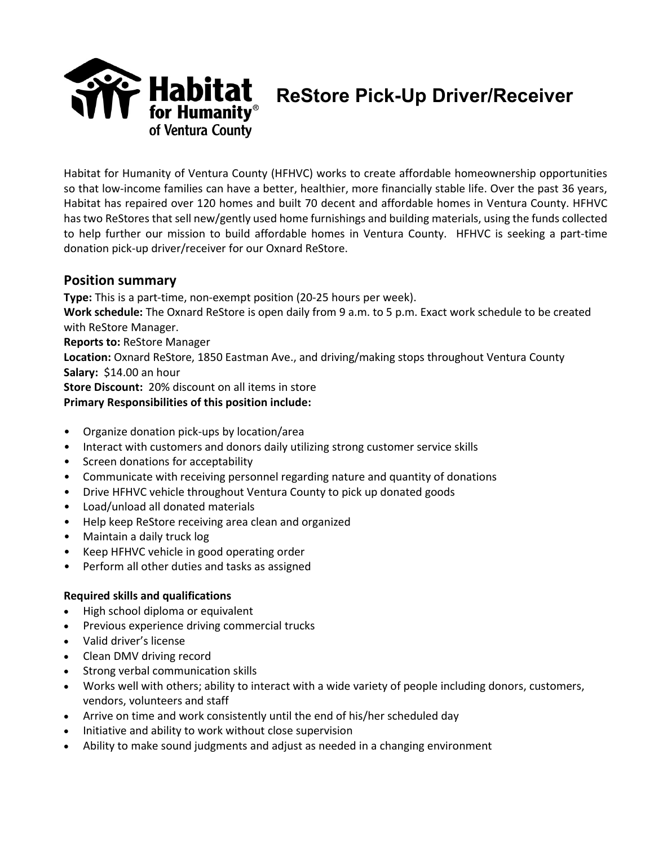

**ReStore Pick-Up Driver/Receiver**

Habitat for Humanity of Ventura County (HFHVC) works to create affordable homeownership opportunities so that low-income families can have a better, healthier, more financially stable life. Over the past 36 years, Habitat has repaired over 120 homes and built 70 decent and affordable homes in Ventura County. HFHVC has two ReStores that sell new/gently used home furnishings and building materials, using the funds collected to help further our mission to build affordable homes in Ventura County. HFHVC is seeking a part-time donation pick-up driver/receiver for our Oxnard ReStore.

# **Position summary**

**Type:** This is a part-time, non-exempt position (20-25 hours per week).

**Work schedule:** The Oxnard ReStore is open daily from 9 a.m. to 5 p.m. Exact work schedule to be created with ReStore Manager.

**Reports to:** ReStore Manager

**Location:** Oxnard ReStore, 1850 Eastman Ave., and driving/making stops throughout Ventura County **Salary:** \$14.00 an hour

**Store Discount:** 20% discount on all items in store

## **Primary Responsibilities of this position include:**

- Organize donation pick-ups by location/area
- Interact with customers and donors daily utilizing strong customer service skills
- Screen donations for acceptability
- Communicate with receiving personnel regarding nature and quantity of donations
- Drive HFHVC vehicle throughout Ventura County to pick up donated goods
- Load/unload all donated materials
- Help keep ReStore receiving area clean and organized
- Maintain a daily truck log
- Keep HFHVC vehicle in good operating order
- Perform all other duties and tasks as assigned

### **Required skills and qualifications**

- High school diploma or equivalent
- Previous experience driving commercial trucks
- Valid driver's license
- Clean DMV driving record
- Strong verbal communication skills
- Works well with others; ability to interact with a wide variety of people including donors, customers, vendors, volunteers and staff
- Arrive on time and work consistently until the end of his/her scheduled day
- Initiative and ability to work without close supervision
- Ability to make sound judgments and adjust as needed in a changing environment